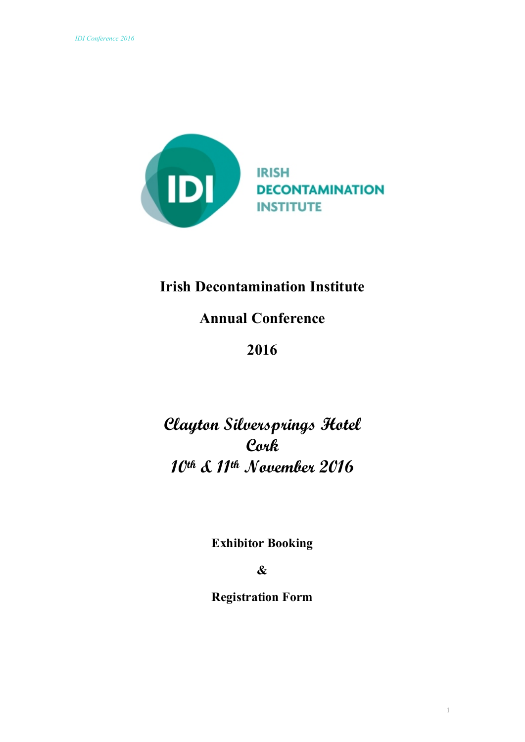

# **Irish Decontamination Institute**

# **Annual Conference**

# **2016**

# **Clayton Silversprings Hotel Cork 10th & 11th November 2016**

**Exhibitor Booking**

## **&**

## **Registration Form**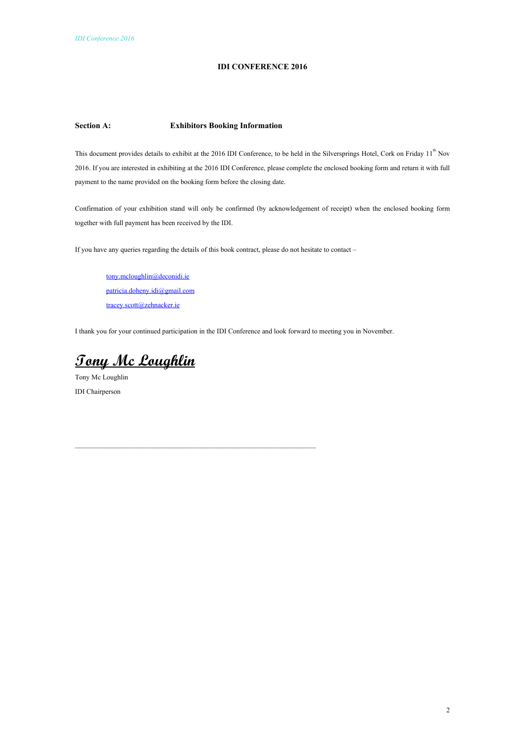#### **IDI CONFERENCE 2016**

#### **Section A: Exhibitors Booking Information**

This document provides details to exhibit at the 2016 IDI Conference, to be held in the Silversprings Hotel, Cork on Friday 11<sup>th</sup> Nov 2016. If you are interested in exhibiting at the 2016 IDI Conference, please complete the enclosed booking form and return it with full payment to the name provided on the booking form before the closing date.

Confirmation of your exhibition stand will only be confirmed (by acknowledgement of receipt) when the enclosed booking form together with full payment has been received by the IDI.

If you have any queries regarding the details of this book contract, please do not hesitate to contact –

\_\_\_\_\_\_\_\_\_\_\_\_\_\_\_\_\_\_\_\_\_\_\_\_\_\_\_\_\_\_\_\_\_\_\_\_\_\_\_\_\_\_\_\_\_\_\_\_\_\_\_\_\_\_\_\_\_\_\_\_\_\_\_\_\_\_\_\_\_

[tony.mcloughlin@deconidi.ie](mailto:tony.mcloughlin@deconidi.ie) [patricia.doheny.idi@gmail.com](mailto:patricia.doheny.idi@gmail.com) [tracey.scott@zehnacker.ie](mailto:tracey.scott@zehnacker.ie)

I thank you for your continued participation in the IDI Conference and look forward to meeting you in November.

**Tony Mc Loughlin**

Tony Mc Loughlin IDI Chairperson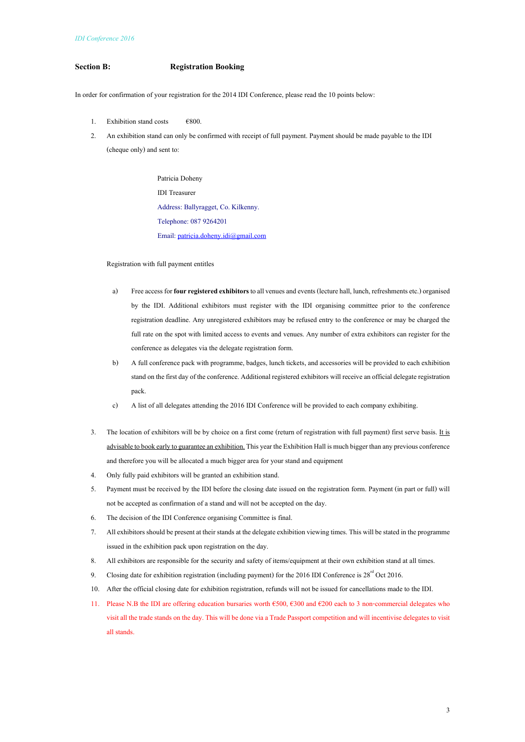#### **Section B: Registration Booking**

In order for confirmation of your registration for the 2014 IDI Conference, please read the 10 points below:

- 1. Exhibition stand costs  $\epsilon$ 800.
- 2. An exhibition stand can only be confirmed with receipt of full payment. Payment should be made payable to the IDI (cheque only) and sent to:

 Patricia Doheny IDI Treasurer Address: Ballyragget, Co. Kilkenny. Telephone: 087 9264201 Email[: patricia.doheny.idi@gmail.com](mailto:patricia.doheny.idi@gmail.com)

Registration with full payment entitles

- a) Free access for **fourregistered exhibitors** to all venues and events (lecture hall, lunch, refreshmentsetc.) organised by the IDI. Additional exhibitors must register with the IDI organising committee prior to the conference registration deadline. Any unregistered exhibitors may be refused entry to the conference or may be charged the full rate on the spot with limited access to events and venues. Any number of extra exhibitors can register for the conference as delegates via the delegate registration form.
- b) A full conference pack with programme, badges, lunch tickets, and accessories will be provided to each exhibition stand on the first day of the conference. Additional registered exhibitors will receive an official delegate registration pack.
- c) A list of all delegates attending the 2016 IDI Conference will be provided to each company exhibiting.
- 3. The location of exhibitors will be by choice on a first come (return of registration with full payment) first serve basis. It is advisable to book early to guarantee an exhibition. This year the Exhibition Hall is much bigger than any previous conference and therefore you will be allocated a much bigger area for your stand and equipment
- 4. Only fully paid exhibitors will be granted an exhibition stand.
- 5. Payment must be received by the IDI before the closing date issued on the registration form. Payment (in part or full) will not be accepted as confirmation of a stand and will not be accepted on the day.
- 6. The decision of the IDI Conference organising Committee is final.
- 7. All exhibitors should be present at their stands at the delegate exhibition viewing times. This will be stated in the programme issued in the exhibition pack upon registration on the day.
- 8. All exhibitors are responsible for the security and safety of items/equipment at their own exhibition stand at all times.
- 9. Closing date for exhibition registration (including payment) for the 2016 IDI Conference is  $28^{\text{rd}}$  Oct 2016.
- 10. After the official closing date for exhibition registration, refunds will not be issued for cancellations made to the IDI.
- 11. Please N.B the IDI are offering education bursaries worth €500, €300 and €200 each to 3 non-commercial delegates who visit all the trade stands on the day. This will be done via a Trade Passport competition and will incentivise delegates to visit all stands.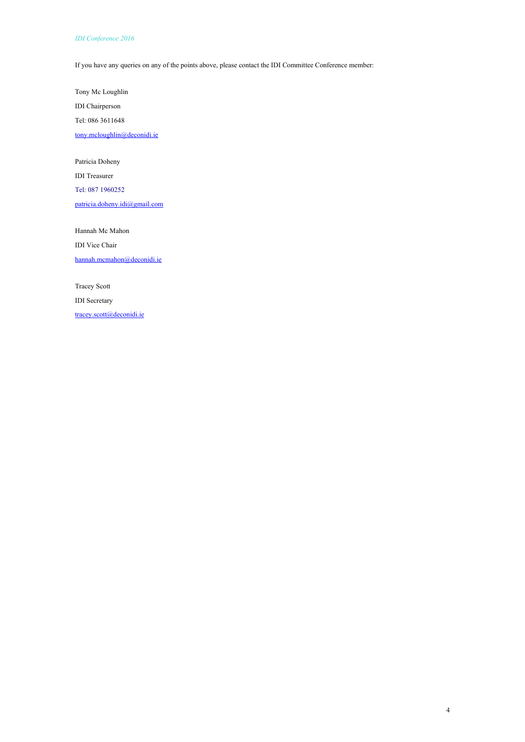#### *IDI Conference 2016*

If you have any queries on any of the points above, please contact the IDI Committee Conference member:

Tony Mc Loughlin IDI Chairperson Tel: 086 3611648 [tony.mcloughlin@deconidi.ie](mailto:tony.mcloughlin@deconidi.ie)

Patricia Doheny

IDI Treasurer

Tel: 087 1960252

[patricia.doheny.idi@gmail.com](mailto:patricia.doheny.idi@gmail.com)

Hannah Mc Mahon IDI Vice Chair hannah.mcmahon@deconidi.ie

Tracey Scott IDI Secretary

[tracey.scott@deconidi.ie](mailto:tracey.scott@deconidi.ie)